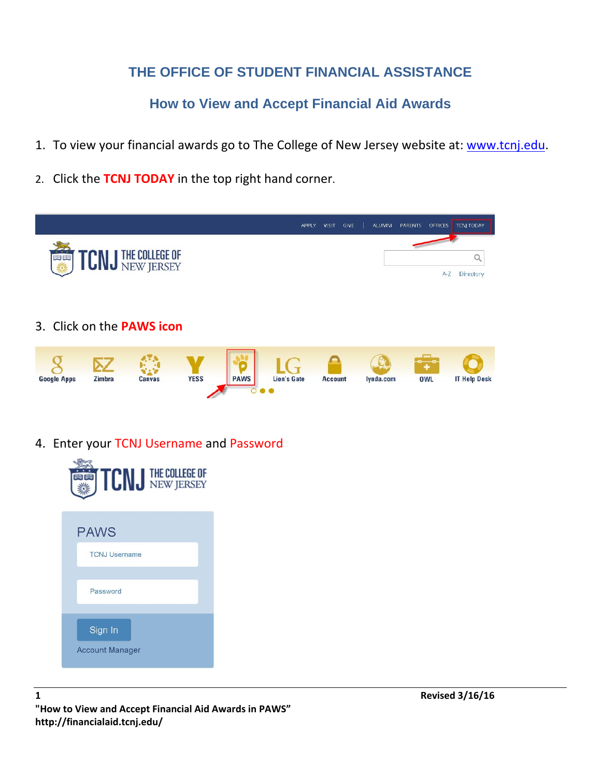## **THE OFFICE OF STUDENT FINANCIAL ASSISTANCE**

**How to View and Accept Financial Aid Awards** 

- 1. To view your financial awards go to The College of New Jersey website at: www.tcnj.edu.
- 2. Click the **TCNJ TODAY** in the top right hand corner.



4. Enter your TCNJ Username and Password

| <b>TCN J THE COLLEGE OF</b>         |
|-------------------------------------|
| <b>PAWS</b><br><b>TCNJ Username</b> |
| Password                            |
| Sign In<br><b>Account Manager</b>   |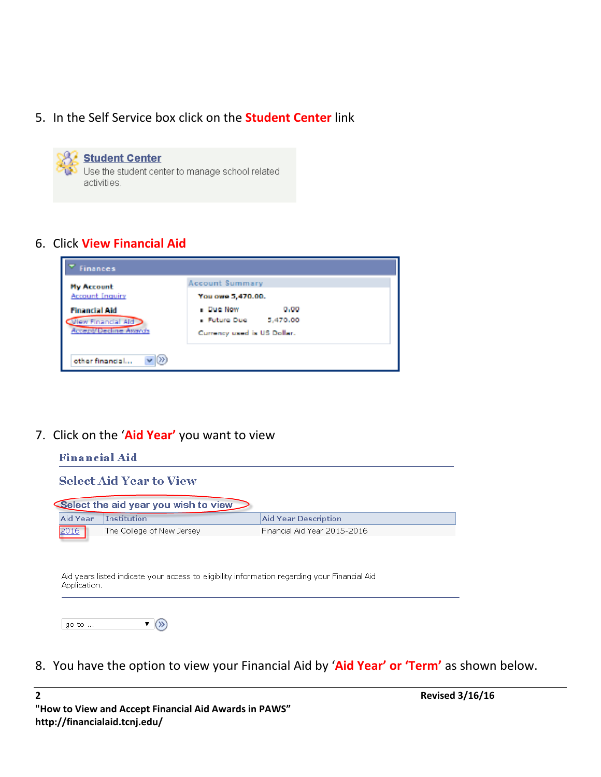5. In the Self Service box click on the **Student Center** link

**Student Center** Use the student center to manage school related activities.

### 6. Click **View Financial Aid**

| <b>Finances</b>                              |                             |  |  |  |  |  |
|----------------------------------------------|-----------------------------|--|--|--|--|--|
| <b>My Account</b>                            | <b>Account Summary</b>      |  |  |  |  |  |
| <b>Account Inquiry</b>                       | You owe 5,470.00.           |  |  |  |  |  |
| <b>Financial Aid</b>                         | <b>Due Now</b><br>0.00      |  |  |  |  |  |
| View Financial Aid                           | - Future Due<br>5,470.00    |  |  |  |  |  |
| <b>Accept/Decline Avends</b>                 | Currency used is US Dollar. |  |  |  |  |  |
| $\langle \rangle \rangle$<br>other financial |                             |  |  |  |  |  |

7. Click on the '**Aid Year'** you want to view

|          | <b>Select Aid Year to View</b>       |                              |  |
|----------|--------------------------------------|------------------------------|--|
|          | Select the aid year you wish to view |                              |  |
| Aid Year | <b>Institution</b>                   | <b>Aid Year Description</b>  |  |
| 2016     | The College of New Jersey            | Financial Aid Year 2015-2016 |  |
|          |                                      |                              |  |

8. You have the option to view your Financial Aid by '**Aid Year' or 'Term'** as shown below.

**2 Revised 3/16/16 "How to View and Accept Financial Aid Awards in PAWS" http://financialaid.tcnj.edu/**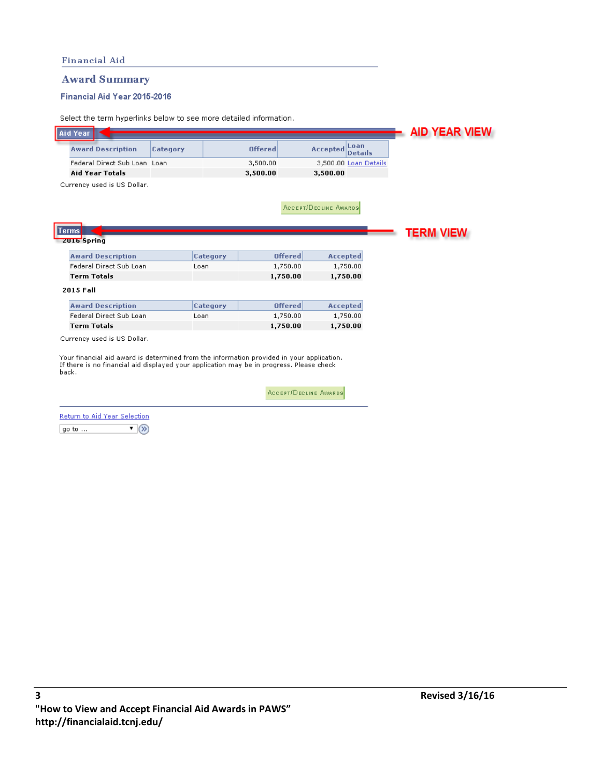### **Award Summary**

#### Financial Aid Year 2015-2016

Select the term hyperlinks below to see more detailed information.

| <b>Aid Year</b>    |                              |          |                                                                                           |                              |                        | <b>AID YEAR VIEW</b> |
|--------------------|------------------------------|----------|-------------------------------------------------------------------------------------------|------------------------------|------------------------|----------------------|
|                    | <b>Award Description</b>     | Category | <b>Offered</b>                                                                            | <b>Accepted</b>              | Loan<br><b>Details</b> |                      |
|                    | Federal Direct Sub Loan Loan |          | 3,500.00                                                                                  |                              | 3,500.00 Loan Details  |                      |
|                    | <b>Aid Year Totals</b>       |          | 3,500.00                                                                                  | 3,500.00                     |                        |                      |
|                    | Currency used is US Dollar.  |          |                                                                                           |                              |                        |                      |
|                    |                              |          |                                                                                           |                              |                        |                      |
|                    |                              |          |                                                                                           | <b>ACCEPT/DECLINE AWARDS</b> |                        |                      |
|                    |                              |          |                                                                                           |                              |                        |                      |
| Terms              |                              |          |                                                                                           |                              |                        |                      |
| <b>ZUI6</b> Spring |                              |          |                                                                                           |                              |                        | <b>TERM VIEW</b>     |
|                    |                              |          |                                                                                           |                              |                        |                      |
|                    | <b>Award Description</b>     |          | Category                                                                                  | <b>Offered</b>               | Accepted               |                      |
|                    | Federal Direct Sub Loan      | Loan     |                                                                                           | 1,750.00                     | 1,750.00               |                      |
| <b>Term Totals</b> |                              |          |                                                                                           | 1,750.00                     | 1,750.00               |                      |
| 2015 Fall          |                              |          |                                                                                           |                              |                        |                      |
|                    |                              |          |                                                                                           |                              |                        |                      |
|                    | <b>Award Description</b>     |          | Category                                                                                  | <b>Offered</b>               | <b>Accepted</b>        |                      |
|                    | Federal Direct Sub Loan      | Loan     |                                                                                           | 1,750.00                     | 1,750.00               |                      |
| <b>Term Totals</b> |                              |          |                                                                                           | 1,750.00                     | 1,750.00               |                      |
|                    | Currency used is US Dollar.  |          |                                                                                           |                              |                        |                      |
|                    |                              |          |                                                                                           |                              |                        |                      |
|                    |                              |          | Your financial aid award is determined from the information provided in your application. |                              |                        |                      |
| back.              |                              |          | If there is no financial aid displayed your application may be in progress. Please check  |                              |                        |                      |

ACCEPT/DECLINE AWARDS

| Return to Aid Year Selection |  |
|------------------------------|--|
| $q$ o to $\ldots$            |  |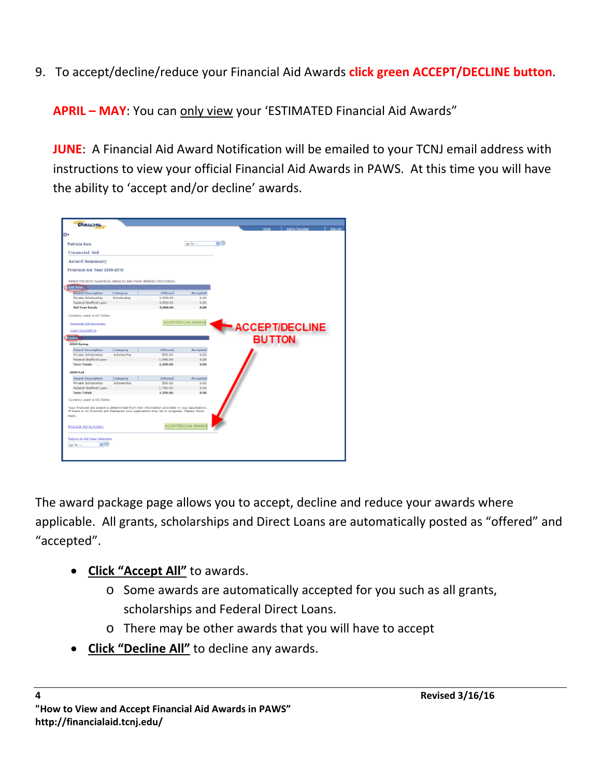9. To accept/decline/reduce your Financial Aid Awards **click green ACCEPT/DECLINE button**.

**APRIL – MAY**: You can only view your 'ESTIMATED Financial Aid Awards"

**JUNE**: A Financial Aid Award Notification will be emailed to your TCNJ email address with instructions to view your official Financial Aid Awards in PAWS. At this time you will have the ability to 'accept and/or decline' awards.

| PAWS                                                               |              |                                                                                                                                                                                        |                              |             |               |                       |  |
|--------------------------------------------------------------------|--------------|----------------------------------------------------------------------------------------------------------------------------------------------------------------------------------------|------------------------------|-------------|---------------|-----------------------|--|
|                                                                    |              |                                                                                                                                                                                        |                              |             |               | Add to Favorbia       |  |
|                                                                    |              |                                                                                                                                                                                        |                              |             |               |                       |  |
| <b>Patricia Aws</b>                                                |              |                                                                                                                                                                                        | ge to                        | $\sim$ (ii) |               |                       |  |
| <b>Financial Aid</b>                                               |              |                                                                                                                                                                                        |                              |             |               |                       |  |
| <b>Award Summary</b>                                               |              |                                                                                                                                                                                        |                              |             |               |                       |  |
|                                                                    |              |                                                                                                                                                                                        |                              |             |               |                       |  |
| Financial Aid Year 2003-2010                                       |              |                                                                                                                                                                                        |                              |             |               |                       |  |
| select the term hyperlinks below to see more detailed information. |              |                                                                                                                                                                                        |                              |             |               |                       |  |
| Ald Year                                                           |              |                                                                                                                                                                                        |                              |             |               |                       |  |
| <b>Award Description</b>                                           | Category     | Offered                                                                                                                                                                                | Accepted                     |             |               |                       |  |
| Drivator Rebuil a rebien                                           | Rebuilanchia | 1.000.00                                                                                                                                                                               | 4.00                         |             |               |                       |  |
| Federal Stafford Loan<br>Aid Year Totals                           |              | 3.500.00<br>4,500.00                                                                                                                                                                   | 0.00<br>8,89                 |             |               |                       |  |
|                                                                    |              |                                                                                                                                                                                        |                              |             |               |                       |  |
| Currency used in US Dollar.                                        |              |                                                                                                                                                                                        |                              |             |               |                       |  |
| Financial Aid Surrenace                                            |              |                                                                                                                                                                                        | <b>ACCEPT/DECLINE AWARDS</b> |             |               | <b>ACCEPT/DECLINE</b> |  |
| Loan Courseling                                                    |              |                                                                                                                                                                                        |                              |             |               |                       |  |
| Terms <sup>3</sup>                                                 |              |                                                                                                                                                                                        |                              |             | <b>BUTTON</b> |                       |  |
| 2010 Spring                                                        |              |                                                                                                                                                                                        |                              |             |               |                       |  |
| <b>Award Description</b>                                           | Category     | Officeral                                                                                                                                                                              | Accepted                     |             |               |                       |  |
| Private Scholarship                                                | Scholarship  | 500.00                                                                                                                                                                                 | 0.00                         |             |               |                       |  |
| <b>Federal Stafford Loan</b>                                       |              | 1.750.00                                                                                                                                                                               | 0.00                         |             |               |                       |  |
| <b>Term Totals</b>                                                 |              | 2,250.00                                                                                                                                                                               | 4.00                         |             |               |                       |  |
| 2000 Fall                                                          |              |                                                                                                                                                                                        |                              |             |               |                       |  |
| <b>Award Description</b>                                           | Category     | Offered                                                                                                                                                                                | Accepted                     |             |               |                       |  |
| Private Scholarship                                                | Scholarship  | 500.00                                                                                                                                                                                 | 8.00                         |             |               |                       |  |
| Federal Stafferd Loan                                              |              | 1.750.00                                                                                                                                                                               | 0.00                         |             |               |                       |  |
| <b>Term Totals</b>                                                 |              | 2,250.00                                                                                                                                                                               | 8,00                         |             |               |                       |  |
| Currency used is US Dollar.                                        |              |                                                                                                                                                                                        |                              |             |               |                       |  |
|                                                                    |              |                                                                                                                                                                                        |                              |             |               |                       |  |
|                                                                    |              | Your financial aid avaid is determined from the information provided in your application.<br>If there is no financial aid displayed your application may be to progress. Flease check- |                              |             |               |                       |  |
| back.                                                              |              |                                                                                                                                                                                        |                              |             |               |                       |  |
|                                                                    |              |                                                                                                                                                                                        |                              |             |               |                       |  |
| RESIGN AV SERVICE                                                  |              |                                                                                                                                                                                        | ACCEPTIBECLINE AWARDS        |             |               |                       |  |
|                                                                    |              |                                                                                                                                                                                        |                              |             |               |                       |  |
| Return to Aid Year Selection                                       |              |                                                                                                                                                                                        |                              |             |               |                       |  |
|                                                                    |              |                                                                                                                                                                                        |                              |             |               |                       |  |
| $+100$<br>go to                                                    |              |                                                                                                                                                                                        |                              |             |               |                       |  |
|                                                                    |              |                                                                                                                                                                                        |                              |             |               |                       |  |

The award package page allows you to accept, decline and reduce your awards where applicable. All grants, scholarships and Direct Loans are automatically posted as "offered" and "accepted".

- **Click "Accept All"** to awards.
	- o Some awards are automatically accepted for you such as all grants, scholarships and Federal Direct Loans.
	- o There may be other awards that you will have to accept
- **Click "Decline All"** to decline any awards.